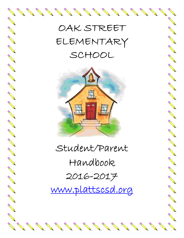# OAK STREET ELEMENTARY SCHOOL

**Contract of the Contract of the Contract of The Contract of The Contract of The Contract of The Contract of The Contract of The Contract of The Contract of The Contract of The Contract of The Contract of The Contract of T** 

**Contract of the Contract of the Contract of The Contract of The Contract of The Contract of The Contract of The Contract of The Contract of The Contract of The Contract of The Contract of The Contract of The Contract of T** 

A REA

A March 19

A March 19

A Barcas

A March 19

Normal Contract of the

RANT ROOM

A AND R

**Contraction of the Contraction Contraction Contraction Contraction Contraction Contraction Contraction Contraction** 

A March

RA REA

Control R

RA A

**ANTICATION** 

N AND RO

**SANTA** 

**CONTROLLER** 

**CONTROLLER** 

CONTROLL BY

A REA

Contract of

A REA

A March

Control R

No Cardian

AND ROAD

A A R

Control 20

North Carpenter

**RAND CONNECTION OF READ** 



Student/Parent Handbook 2016-2017 www.plattscsd.org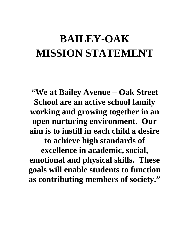# **BAILEY-OAK MISSION STATEMENT**

**"We at Bailey Avenue – Oak Street School are an active school family working and growing together in an open nurturing environment. Our aim is to instill in each child a desire to achieve high standards of excellence in academic, social, emotional and physical skills. These goals will enable students to function as contributing members of society."**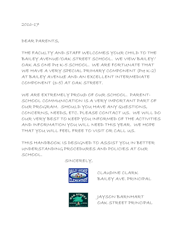2016-17

DEAR PARENTS,

THE FACULTY AND STAFF WELCOMES YOUR CHILD TO THE BAILEY AVENUE/OAK STREET SCHOOL. WE VIEW BAILEY/ OAK AS ONE Pre K-5 SCHOOL. WE ARE FORTUNATE THAT WE HAVE A VERY SPECIAL PRIMARY COMPONENT (Pre K-2) AT BAILEY AVENUE AND AN EXCELLENT INTERMEDIATE COMPONENT (3-5) AT OAK STREET.

WE ARE EXTREMELY PROUD OF OUR SCHOOL. PARENT-SCHOOL COMMUNICATION IS A VERY IMPORTANT PART OF OUR PROGRAM. SHOULD YOU HAVE ANY QUESTIONS, CONCERNS, NEEDS, ETC. PLEASE CONTACT US. WE WILL DO OUR VERY BEST TO KEEP YOU INFORMED OF THE ACTIVITIES AND INFORMATION YOU WILL NEED THIS YEAR. WE HOPE THAT YOU WILL FEEL FREE TO VISIT OR CALL US.

THIS HANDBOOK IS DESIGNED TO ASSIST YOU IN BETTER UNDERSTANDING PROCEDURES AND POLICIES AT OUR SCHOOL.

SINCERELY,



CLAUDINE CLARK BAILEY AVE. PRINCIPAL



 JAYSON BARNHART OAK STREET PRINCIPAL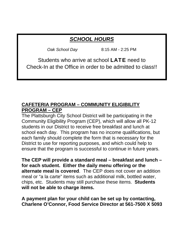## *SCHOOL HOURS*

Health Office 561-4760

*Oak School Day* 8:15 AM - 2:25 PM

 $P_{\text{t}}$   $\sim$   $P_{\text{t}}$   $\sim$   $P_{\text{t}}$ Students who arrive at school LATE need to Check-In at the Office in order to be admitted to class!!

### **CAFETERIA PROGRAM – COMMUNITY ELIGIBILITY PROGRAM – CEP**

The Plattsburgh City School District will be participating in the Community Eligibility Program (CEP), which will allow all PK-12 students in our District to receive free breakfast and lunch at school each day. This program has no income qualifications, but each family should complete the form that is necessary for the District to use for reporting purposes, and which could help to ensure that the program is successful to continue in future years.

**The CEP will provide a standard meal – breakfast and lunch – for each student. Either the daily menu offering or the alternate meal is covered**. The CEP does not cover an addition meal or "a la carte" items such as additional milk, bottled water, chips, etc. Students may still purchase these items. **Students will not be able to charge items.** 

**A payment plan for your child can be set up by contacting, Charlene O'Connor, Food Service Director at 561-7500 X 5093**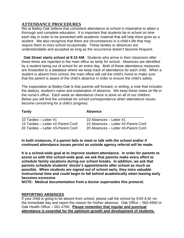#### **ATTENDANCE PROCEDURES**

We at Bailey-Oak believe that consistent attendance at school is imperative to attain a thorough and complete education. It is important that students be in school on time each day in order to be presented with academic material that will help them grow as a student. We also recognize that there are circumstances in a child's life that may require them to miss school occasionally. These tardies or absences are understandable and accepted as long as the occurrence doesn't become frequent.

 **Oak Street starts school at 8:15 AM**. Students who arrive in their classroom after these times are reported to the main office as tardy for school. Absences are identified by a student being out of school for an entire day. Both of these attendance measures are forwarded to a database where we keep track of attendance for each child. When a student is absent from school, the main office will call the child's home to make sure that the parent is aware of the child's absence in order to ensure the child's safety.

The expectation at Bailey-Oak is that parents will forward, in writing, a note that includes the date(s), student's name and explanation of absence. We keep these notes on file in the nurse's office. Each week an attendance check is done on all of our children. Below you will find the schedule for school correspondence when attendance issues become concerning for a child's progress:

| <b>Tardy</b>                        | <b>Absence</b>                       |
|-------------------------------------|--------------------------------------|
| 10 Tardies $-$ Letter #1            | 10 Absences $-$ Letter #1            |
| 15 Tardies - Letter #2-Parent Conf. | 15 Absences – Letter #2-Parent Conf. |
| 20 Tardies – Letter #3-Parent Conf. | 20 Absences – Letter #3-Parent Conf. |

**In both instances, if a parent fails to meet or talk with the school and/or if continued attendance issues persist an outside agency referral will be made.** 

**It is a school-wide goal at to improve student attendance. In order for parents to assist us with this school-wide goal, we ask that parents make every effort to schedule family vacations during our school breaks. In addition, we ask that parents schedule students' doctor's appointments after school as much as possible. When students are signed out of school early, they miss valuable instructional time and could begin to fall behind academically when leaving early becomes excessive**.

**NOTE: Medical documentation from a doctor supersedes this protocol.** 

#### **REPORTING ABSENCES**

If your child is going to be absent from school, please call the school by 9:00 A.M. on the immediate day and report the reason for his/her absence. Oak Office – 563-4950 or Oak Health Office – 561-4760. **Please remember that regular and punctual attendance is essential for the optimum growth and development of students.**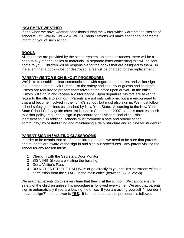#### **INCLEMENT WEATHER**

If and when we have weather conditions during the winter which warrants the closing of school WIRY, WKDR, WEAV & WDOT Radio Stations will make spot announcements informing you of such action.

#### **BOOKS**

All textbooks are provided by the school system. In some instances, there will be a need to buy other supplies or materials. A separate letter concerning this will be sent home to you. Children will be responsible for the books that are assigned to them. In the event that a book is lost or destroyed, a fee will be charged for the replacement.

#### **PARENT~VISITOR SIGN-IN~OUT PROCEDURES**

We'd like to establish clear communication with regard to our parent and visitor sign in/out procedures at Oak Street. For the safety and security of guests and students, visitors are required to present themselves at the office upon arrival. In the office, visitors will sign in and receive a visitor badge. Upon departure, visitors are asked to return to the office to sign out. Parents are not only welcome, but are encouraged to visit and become involved in their child's school, but must also sign in. We must follow school safety guidelines established by New York State. According to the New York State School Safety guide checklist issued in September 2007, schools must establish "a visitor policy, requiring a sign-in procedure for all visitors, including visible identification." In addition, schools must "promote a safe and orderly school community," by "establishing and maintaining a daily structure and routine for students."

#### **PARENT SIGN IN / VISITING CLASSROOMS**

In order to be certain that all of our children are safe, we need to be sure that parents and students are aware of the sign-in and sign-out procedures. Any parent visiting the school for any reason must:

- 1 Check In with the Secretary/Door Monitor
- 2 SIGN IN!! (if you are visiting the building)
- 3 Get a Visitor's Pass
- 4 DO NOT ENTER THE HALLWAY or go directly to your child's classroom without permission from the STAFF in the main office (between 8:25a-2:25p)

We ask that parents do this every time that they visit the school. We cannot ensure safety of the children unless this procedure is followed every time. We ask that parents sign in automatically if you are leaving the office. If you are asking yourself- "I wonder if I have to sign?" - the answer is **YES**. It is important that this procedure is followed.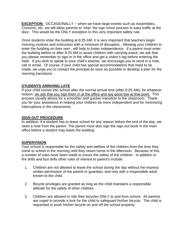**EXCEPTION:** OCCASIONALLY ~ when we have large events such as Assemblies, Concerts, etc. we will allow parents to "skip" the sign in/out process to easy traffic at the door. This would be the ONLY exception to this very important safety rule.

Once students enter the building at 8:25 AM, it is very important that teachers begin morning routines and instruction with a minimum of disruption. Allowing your children to enter the building on their own , will help to foster independence. If a parent must enter the building before or after 8:25 AM to assist children with carrying snack, we ask that you please remember to sign-in in the office and get a visitor's tag before entering the halls. If you wish to speak to your child's teacher, we encourage you to send in a note, call or email. Of course, if your child has special accommodations that need to be made, we urge you to contact the principal as soon as possible to develop a plan for the morning transitions.

#### **STUDENTS ARRIVING LATE**

If your child comes into school after the normal arrival time (after 8:25 AM), for whatever reason, we ask that you sign them in at the office and say good bye at that point. This process usually allows for a smoother and quicker transition to the classroom. Thank you for your assistance in helping your children be more independent and for minimizing interruptions in the classrooms.

#### **SIGN OUT PROCEDURE**

In addition, if a student has to leave school for any reason before the end of the day, we need a note from the parent. The parent must also sign the sign-out book in the main office before a student may leave the building.

#### **SUPERVISION**

Your school is responsible for the safety and welfare of the children from the time they come to school in the morning until they return home in the afternoon. Because of this, a number of rules have been made to insure the safety of the children. In addition to fire drills and bus drills other rules of interest to parent's include:

- 1. Children are not allowed to leave the school during the day without the express written permission of the parent or guardian, and only with a responsible adult known to the child.
- 2. Bicycle privileges are granted as long as the child maintains a responsible attitude for the safety of other children.
- 3. Children are allowed to ride their bicycles ONLY to and from school. All parents are urged to provide a lock for the child to safeguard his/her bicycle. The child is requested to push his/her bicycle on and off the school property.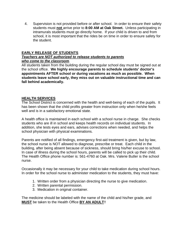4. Supervision is not provided before or after school. In order to ensure their safety students must **not** arrive prior to **8:00 AM at Oak Street.** Unless participating in intramurals students must go directly home. If your child is driven to and from school, it is most important that the rides be on time in order to ensure safety for the student.

#### **EARLY RELEASE OF STUDENTS**

#### *Teachers are NOT authorized to release students to parents who come to the classroom*.

All students taken from the building during the regular school day must be signed out at the school office. **We highly encourage parents to schedule students' doctor's appointments AFTER school or during vacations as much as possible. When students leave school early, they miss out on valuable instructional time and can fall behind academically.**

#### **HEALTH SERVICES**

The School District is concerned with the health and well-being of each of the pupils. It has been shown that the child profits greater from instruction only when he/she feels well and is in a satisfactory emotional state.

A health office is maintained in each school with a school nurse in charge. She checks students who are ill in school and keeps health records on individual students. In addition, she tests eyes and ears, advises corrections when needed, and helps the school physician with physical examinations.

Parents are notified of all findings, emergency first-aid treatment is given, but by law, the school nurse is NOT allowed to diagnose, prescribe or treat. Each child in the building, after being absent because of sickness, should bring his/her excuse to school. In case of illness during the school hours, parents will be called to pick up their child. The Health Office phone number is: 561-4760 at Oak. Mrs. Valerie Butler is the school nurse.

Occasionally it may be necessary for your child to take medication during school hours. In order for the school nurse to administer medication to the students, they must have:

- 1. Written order from a physician directing the nurse to give medication.
- 2. Written parental permission.
- 3. Medication in original container.

The medicine should be labeled with the name of the child and his/her grade, and **MUST** be taken to the Health Office **BY AN ADULT**!!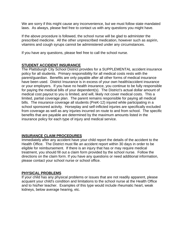We are sorry if this might cause any inconvenience, but we must follow state mandated laws. As always, please feel free to contact us with any questions you might have.

If the above procedure is followed, the school nurse will be glad to administer the prescribed medicine. All the other unprescribed medication, however such as aspirin, vitamins and cough syrups cannot be administered under any circumstances.

If you have any questions, please feel free to call the school nurse.

#### **STUDENT ACCIDENT INSURANCE**

The Plattsburgh City School District provides for a SUPPLEMENTAL accident insurance policy for all students. Primary responsibility for all medical costs rests with the parent/guardian. Benefits are only payable after all other forms of medical insurance have been used. District Insurance is in excess of your own health/accident insurance or your employers. If you have no health insurance, you continue to be fully responsible for paying the medical bills of your dependent(s). The District's actual dollar amount of medical cost payout to you is limited, and will, likely not cover medical costs. This a limited, partial coverage plan. The parent remains responsible for paying all medical bills. The insurance coverage all students (PreK-12) injured while participating in a school sponsored activity. Horseplay and self-inflicted injuries are specifically excluded from coverage as well as any injuries incurred on route to and from school. The specific benefits that are payable are determined by the maximum amounts listed in the insurance policy for each type of injury and medical service.

#### **INSURANCE CLAIM PROCEDURES**

Immediately after any accident have your child report the details of the accident to the Health Office. The District must file an accident report within 30 days in order to be eligible for reimbursement. If there is an injury that has or may require medical treatment, you should fill out a claim form provided by the school nurse. Follow the directions on the claim form. If you have any questions or need additional information, please contact your school nurse or school office.

#### **PHYSICAL PROBLEMS**

If your child has any physical problems or issues that are not readily apparent, please acquaint your child's condition and limitations to the school nurse at the Health Office and to his/her teacher. Examples of this type would include rheumatic heart, weak kidneys, below average hearing, etc.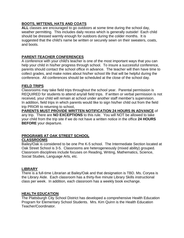#### **BOOTS, MITTENS, HATS AND COATS**

**ALL** classes are encouraged to go outdoors at some time during the school day, weather permitting. This includes daily recess which is generally outside! Each child should be dressed warmly enough for outdoors during the colder months. It is suggested that the child's name be written or securely sewn on their sweaters, coats, and boots.

#### **PARENT-TEACHER CONFERENCES**

A conference with your child's teacher is one of the most important ways that you can help your child in his/her progress through school. To insure a successful conference, parents should contact the school office in advance. The teacher will then have time to collect grades, and make notes about his/her school life that will be helpful during the conference. All conferences should be scheduled at the close of the school day.

#### **FIELD TRIPS**

Classrooms may take field trips throughout the school year. Parental permission is REQUIRED for students to attend any/all field trips. If written or verbal permission is not received, your child will remain at school under another staff member's supervision. In addition, field trips in which parents would like to sign his/her child out from the field trip PRIOR to returning to school,

**PARENTS MUST PROVIDE WRITTEN NOTIFICATION 24 HOURS IN ADVANCE** of any trip. There are **NO EXCEPTIONS** to this rule. You will NOT be allowed to take your child from the trip site if we do not have a written notice in the office **24 HOURS BEFORE** your departure.

### **PROGRAMS AT OAK STREET SCHOOL**

#### **CLASSROOMS**

Bailey/Oak is considered to be one Pre K-5 school. The Intermediate Section located at Oak Street School is 3-5. Classrooms are heterogeneously (mixed ability) grouped. Classroom disciplines include focuses on Reading, Writing, Mathematics, Science, Social Studies, Language Arts, etc.

#### **LIBRARY**

There is a full-time Librarian at Bailey/Oak and that designation is TBD. Ms. Coryea is the Library Aide. Each classroom has a thirty-five minute Library Skills instructional class per week. In addition, each classroom has a weekly book exchange.

#### **HEALTH EDUCATION**

The Plattsburgh City School District has developed a comprehensive Health Education Program for Elementary School Students. Mrs. Kim Quinn is the Health Education Teacher/Coordinator.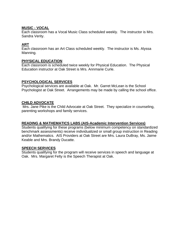#### **MUSIC - VOCAL**

Each classroom has a Vocal Music Class scheduled weekly. The instructor is Mrs. Sandra Verity.

#### **ART**

Each classroom has an Art Class scheduled weekly. The instructor is Ms. Alyssa Manning.

#### **PHYSICAL EDUCATION**

Each classroom is scheduled twice weekly for Physical Education. The Physical Education instructor at Oak Street is Mrs. Annmarie Curle.

#### **PSYCHOLOGICAL SERVICES**

Psychological services are available at Oak. Mr. Garret McLean is the School Psychologist at Oak Street. Arrangements may be made by calling the school office.

#### **CHILD ADVOCATE**

 Mrs. Jane Pike is the Child Advocate at Oak Street. They specialize in counseling, parenting workshops and family services.

#### **READING & MATHEMATICS LABS (AIS-Academic Intervention Services)**

Students qualifying for these programs (below minimum competency on standardized benchmark assessments) receive individualized or small group instruction in Reading and/or Mathematics. AIS Providers at Oak Street are Mrs. Laura DuBray, Ms. Jaime Keable and Mrs. Brandy Ducatte.

#### **SPEECH SERVICES**

Students qualifying for the program will receive services in speech and language at Oak. Mrs. Margaret Felty is the Speech Therapist at Oak.